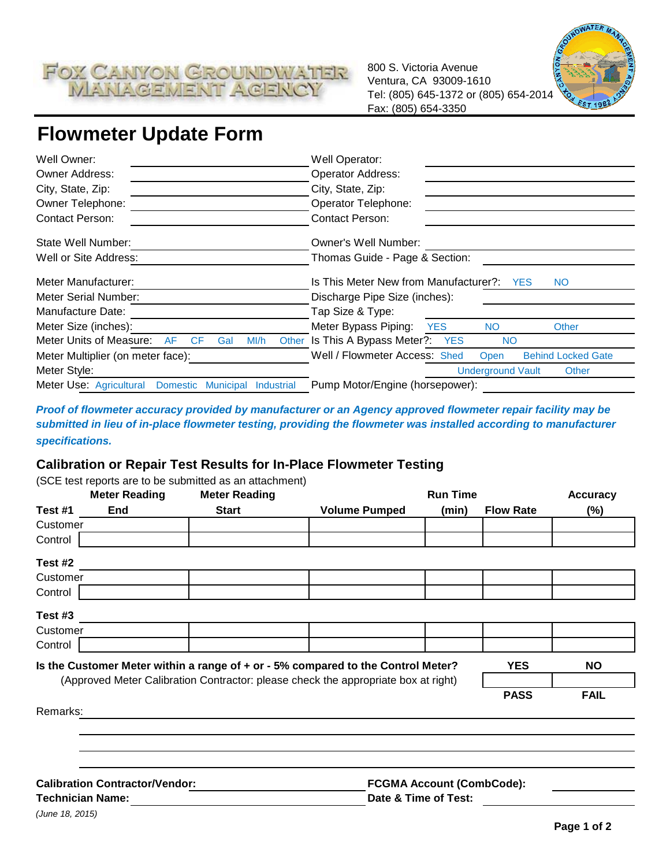

800 S. Victoria Avenue Ventura, CA 93009-1610 Tel: (805) 645-1372 or (805) 654-2014 Fax: (805) 654-3350



# **Flowmeter Update Form**

| Well Owner:                                                     | Well Operator:                                                     |  |  |
|-----------------------------------------------------------------|--------------------------------------------------------------------|--|--|
| <b>Owner Address:</b>                                           | Operator Address:                                                  |  |  |
| City, State, Zip:                                               | City, State, Zip:                                                  |  |  |
| Owner Telephone:                                                | Operator Telephone:                                                |  |  |
| <b>Contact Person:</b>                                          | <b>Contact Person:</b>                                             |  |  |
| State Well Number:                                              | Owner's Well Number:                                               |  |  |
| Well or Site Address:                                           | Thomas Guide - Page & Section:                                     |  |  |
| Meter Manufacturer:                                             | Is This Meter New from Manufacturer?: YES<br><b>NO</b>             |  |  |
| Meter Serial Number:                                            | Discharge Pipe Size (inches):                                      |  |  |
| Manufacture Date:                                               | Tap Size & Type:                                                   |  |  |
| Meter Size (inches):                                            | Meter Bypass Piping:<br><b>YES</b><br><b>NO</b><br><b>Other</b>    |  |  |
| Meter Units of Measure:<br>AF<br><b>CF</b><br>Gal<br>M/h        | Other Is This A Bypass Meter?: YES<br><b>NO</b>                    |  |  |
| Meter Multiplier (on meter face):                               | Well / Flowmeter Access: Shed<br><b>Behind Locked Gate</b><br>Open |  |  |
| Meter Style:                                                    | <b>Underground Vault</b><br>Other                                  |  |  |
| Meter Use: Agricultural Domestic Municipal<br><b>Industrial</b> | Pump Motor/Engine (horsepower):                                    |  |  |

*Proof of flowmeter accuracy provided by manufacturer or an Agency approved flowmeter repair facility may be submitted in lieu of in-place flowmeter testing, providing the flowmeter was installed according to manufacturer specifications.* 

#### **Calibration or Repair Test Results for In-Place Flowmeter Testing**

|                                       | <b>Meter Reading</b>    | (SCE test reports are to be submitted as an attachment)<br><b>Meter Reading</b> |                                                                                    | <b>Run Time</b>                  |                  | <b>Accuracy</b> |  |  |
|---------------------------------------|-------------------------|---------------------------------------------------------------------------------|------------------------------------------------------------------------------------|----------------------------------|------------------|-----------------|--|--|
| Test #1                               | <b>End</b>              | <b>Start</b>                                                                    | <b>Volume Pumped</b>                                                               | (min)                            | <b>Flow Rate</b> | (%)             |  |  |
| Customer                              |                         |                                                                                 |                                                                                    |                                  |                  |                 |  |  |
| Control                               |                         |                                                                                 |                                                                                    |                                  |                  |                 |  |  |
| Test #2                               |                         |                                                                                 |                                                                                    |                                  |                  |                 |  |  |
| Customer                              |                         |                                                                                 |                                                                                    |                                  |                  |                 |  |  |
| Control                               |                         |                                                                                 |                                                                                    |                                  |                  |                 |  |  |
| Test #3                               |                         |                                                                                 |                                                                                    |                                  |                  |                 |  |  |
| Customer                              |                         |                                                                                 |                                                                                    |                                  |                  |                 |  |  |
| Control                               |                         |                                                                                 |                                                                                    |                                  |                  |                 |  |  |
|                                       |                         |                                                                                 | Is the Customer Meter within a range of + or - 5% compared to the Control Meter?   |                                  | <b>YES</b>       | <b>NO</b>       |  |  |
|                                       |                         |                                                                                 | (Approved Meter Calibration Contractor: please check the appropriate box at right) |                                  |                  |                 |  |  |
|                                       |                         |                                                                                 |                                                                                    |                                  | <b>PASS</b>      | <b>FAIL</b>     |  |  |
| Remarks:                              |                         |                                                                                 |                                                                                    |                                  |                  |                 |  |  |
|                                       |                         |                                                                                 |                                                                                    |                                  |                  |                 |  |  |
|                                       |                         |                                                                                 |                                                                                    |                                  |                  |                 |  |  |
|                                       |                         |                                                                                 |                                                                                    |                                  |                  |                 |  |  |
| <b>Calibration Contractor/Vendor:</b> |                         |                                                                                 |                                                                                    | <b>FCGMA Account (CombCode):</b> |                  |                 |  |  |
|                                       | <b>Technician Name:</b> |                                                                                 |                                                                                    | Date & Time of Test:             |                  |                 |  |  |